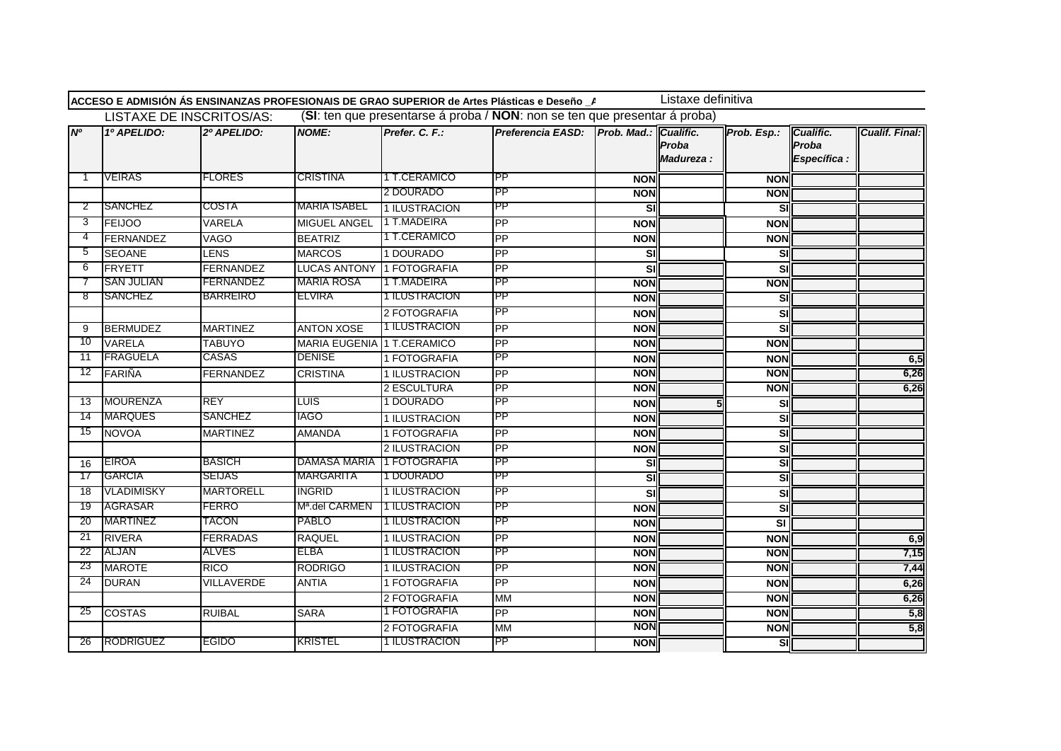|                 |                   |                          |                            |                      | ACCESO E ADMISIÓN ÁS ENSINANZAS PROFESIONAIS DE GRAO SUPERIOR de Artes Plásticas e Deseño _A |            | Listaxe definitiva  |                          |                                    |                       |
|-----------------|-------------------|--------------------------|----------------------------|----------------------|----------------------------------------------------------------------------------------------|------------|---------------------|--------------------------|------------------------------------|-----------------------|
|                 |                   | LISTAXE DE INSCRITOS/AS: |                            |                      | (SI: ten que presentarse á proba / NON: non se ten que presentar á proba)                    |            |                     |                          |                                    |                       |
| N <sup>o</sup>  | 1º APELIDO:       | 2º APELIDO:              | <b>NOME:</b>               | Prefer. C. F.:       | Preferencia EASD: Prob. Mad.: Cualific.                                                      |            | Proba<br>Madureza : | Prob. Esp.:              | Cualific.<br>Proba<br>Específica : | <b>Cualif. Final:</b> |
| -1              | <b>VEIRAS</b>     | <b>FLORES</b>            | <b>CRISTINA</b>            | 1 T.CERAMICO         | <b>PP</b>                                                                                    | <b>NON</b> |                     | <b>NON</b>               |                                    |                       |
|                 |                   |                          |                            | 2 DOURADO            | PP                                                                                           | <b>NON</b> |                     | <b>NON</b>               |                                    |                       |
| 2               | SANCHEZ           | COSTA                    | <b>MARIA ISABEL</b>        | 1 ILUSTRACION        | <b>PP</b>                                                                                    | <u>s</u>   |                     | SI                       |                                    |                       |
| 3               | <b>FEIJOO</b>     | <b>VARELA</b>            | <b>MIGUEL ANGEL</b>        | 1 T.MADEIRA          | <b>PP</b>                                                                                    | <b>NON</b> |                     | <b>NON</b>               |                                    |                       |
| $\overline{4}$  | FERNANDEZ         | <b>VAGO</b>              | <b>BEATRIZ</b>             | 1 T.CERAMICO         | <b>PP</b>                                                                                    | <b>NON</b> |                     | <b>NON</b>               |                                    |                       |
| 5               | <b>SEOANE</b>     | <b>LENS</b>              | <b>MARCOS</b>              | 1 DOURADO            | <b>PP</b>                                                                                    | <u>s</u>   |                     | SI                       |                                    |                       |
| 6               | <b>IFRYETT</b>    | <b>FERNANDEZ</b>         | LUCAS ANTONY 1 FOTOGRAFIA  |                      | <b>PP</b>                                                                                    | <b>SI</b>  |                     | SI                       |                                    |                       |
|                 | <b>SAN JULIAN</b> | FERNANDEZ                | <b>MARIA ROSA</b>          | 1 T.MADEIRA          | PP                                                                                           | <b>NON</b> |                     | <b>NON</b>               |                                    |                       |
| 8               | SANCHEZ           | <b>BARREIRO</b>          | ELVIRA                     | 1 ILUSTRACION        | <b>PP</b>                                                                                    | <b>NON</b> |                     | SI                       |                                    |                       |
|                 |                   |                          |                            | 2 FOTOGRAFIA         | <b>PP</b>                                                                                    | <b>NON</b> |                     | SI                       |                                    |                       |
| 9               | <b>BERMUDEZ</b>   | <b>MARTINEZ</b>          | <b>ANTON XOSE</b>          | 1 ILUSTRACION        | <b>PP</b>                                                                                    | <b>NON</b> |                     | SI                       |                                    |                       |
| 10              | <b>VARELA</b>     | <b>TABUYO</b>            | MARIA EUGENIA 1 T.CERAMICO |                      | <b>PP</b>                                                                                    | <b>NON</b> |                     | <b>NON</b>               |                                    |                       |
| 11              | <b>IFRAGUELA</b>  | CASAS                    | <b>DENISE</b>              | 1 FOTOGRAFIA         | <b>PP</b>                                                                                    | <b>NON</b> |                     | <b>NON</b>               |                                    | 6,5                   |
| 12              | FARIÑA            | <b>FERNANDEZ</b>         | <b>CRISTINA</b>            | 1 ILUSTRACION        | <b>PP</b>                                                                                    | <b>NON</b> |                     | <b>NON</b>               |                                    | 6,26                  |
|                 |                   |                          |                            | 2 ESCULTURA          | PP                                                                                           | <b>NON</b> |                     | <b>NON</b>               |                                    | 6,26                  |
| 13              | MOURENZA          | <b>REY</b>               | <b>LUIS</b>                | 1 DOURADO            | <b>PP</b>                                                                                    | <b>NON</b> |                     | SI                       |                                    |                       |
| 14              | <b>MARQUES</b>    | <b>SANCHEZ</b>           | <b>IAGO</b>                | 1 ILUSTRACION        | PP                                                                                           | <b>NON</b> |                     | SI                       |                                    |                       |
| 15              | NOVOA             | <b>MARTINEZ</b>          | <b>AMANDA</b>              | 1 FOTOGRAFIA         | PP                                                                                           | <b>NON</b> |                     | SI                       |                                    |                       |
|                 |                   |                          |                            | 2 ILUSTRACION        | <b>PP</b>                                                                                    | <b>NON</b> |                     | <b>SI</b>                |                                    |                       |
| 16              | <b>EIROA</b>      | <b>BASICH</b>            | DAMASA MARIA               | <b>11 FOTOGRAFIA</b> | PP                                                                                           | SI         |                     | SI                       |                                    |                       |
| -17             | GARCIA            | <b>SEIJAS</b>            | MARGARITA                  | 1 DOURADO            | PP                                                                                           | SI         |                     | SI                       |                                    |                       |
| 18              | <b>VLADIMISKY</b> | <b>MARTORELL</b>         | <b>INGRID</b>              | 1 ILUSTRACION        | <b>PP</b>                                                                                    | SI         |                     | <b>SI</b>                |                                    |                       |
| 19              | AGRASAR           | FERRO                    | Mª.del CARMEN              | 1 ILUSTRACION        | PP                                                                                           | <b>NON</b> |                     | SI                       |                                    |                       |
| 20              | <b>MARTINEZ</b>   | <b>TACON</b>             | PABLO                      | 1 ILUSTRACION        | <b>IPP</b>                                                                                   | <b>NON</b> |                     | <b>SI</b>                |                                    |                       |
| 21              | <b>RIVERA</b>     | <b>FERRADAS</b>          | <b>RAQUEL</b>              | 1 ILUSTRACION        | <b>PP</b>                                                                                    | <b>NON</b> |                     | <b>NON</b>               |                                    | 6,9                   |
| 22              | ALJAN             | ALVES                    | ELBA                       | 1 ILUSTRACION        | PP                                                                                           | <b>NON</b> |                     | <b>NON</b>               |                                    | 7,15                  |
| 23              | <b>MAROTE</b>     | <b>RICO</b>              | <b>RODRIGO</b>             | 1 ILUSTRACION        | PP                                                                                           | <b>NON</b> |                     | <b>NON</b>               |                                    | 7,44                  |
| $\overline{24}$ | <b>DURAN</b>      | <b>VILLAVERDE</b>        | <b>ANTIA</b>               | 1 FOTOGRAFIA         | <b>PP</b>                                                                                    | <b>NON</b> |                     | <b>NON</b>               |                                    | 6,26                  |
|                 |                   |                          |                            | 2 FOTOGRAFIA         | <b>MM</b>                                                                                    | <b>NON</b> |                     | <b>NON</b>               |                                    | 6,26                  |
| 25              | <b>COSTAS</b>     | <b>RUIBAL</b>            | <b>SARA</b>                | 1 FOTOGRAFIA         | <b>PP</b>                                                                                    | <b>NON</b> |                     | <b>NON</b>               |                                    | 5,8                   |
|                 |                   |                          |                            | 2 FOTOGRAFIA         | <b>MM</b>                                                                                    | <b>NON</b> |                     | <b>NON</b>               |                                    | 5,8                   |
| 26              | RODRIGUEZ         | <b>EGIDO</b>             | <b>KRISTEL</b>             | 1 ILUSTRACION        | PP                                                                                           | <b>NON</b> |                     | $\overline{\mathsf{SI}}$ |                                    |                       |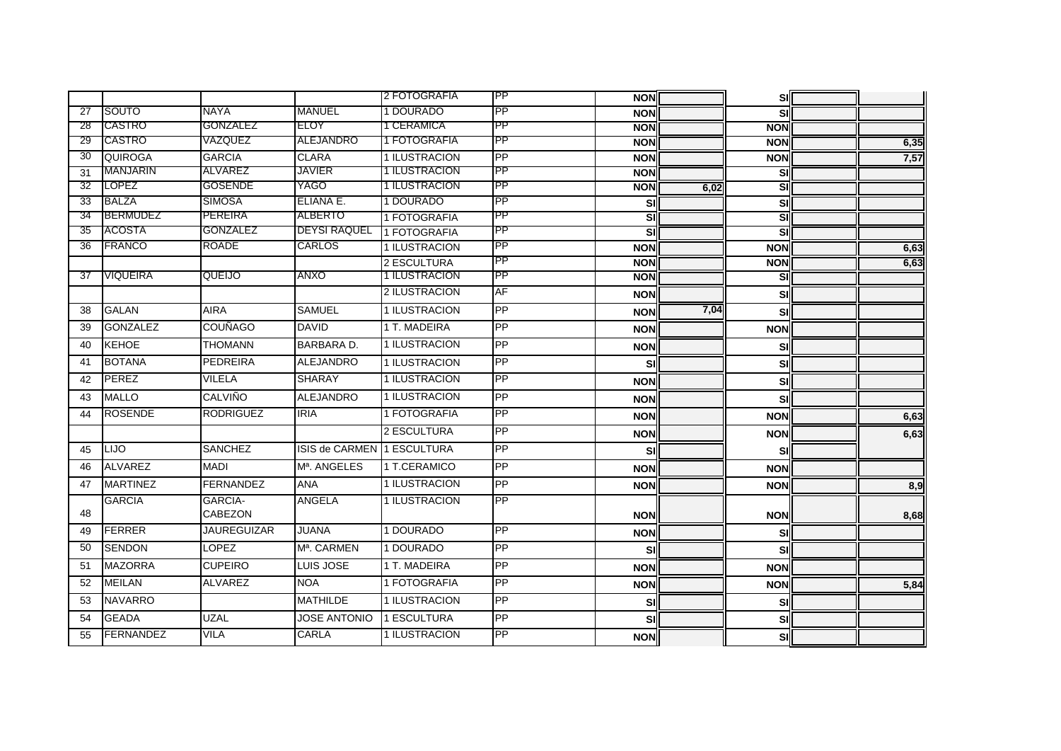|                 |                  |                                  |                            | 2 FOTOGRAFIA  | IPP             | <b>NON</b> |      | <b>SI</b>  |      |
|-----------------|------------------|----------------------------------|----------------------------|---------------|-----------------|------------|------|------------|------|
| 27              | SOUTO            | NAYA                             | <b>MANUEL</b>              | 1 DOURADO     | PP              | <b>NON</b> |      | SI         |      |
| 28              | CASTRO           | GONZALEZ                         | ELOY                       | 1 CERAMICA    | PP              | <b>NON</b> |      | <b>NON</b> |      |
| 29              | CASTRO           | VAZQUEZ                          | ALEJANDRO                  | 1 FOTOGRAFIA  | <b>IPP</b>      | <b>NON</b> |      | <b>NON</b> | 6,35 |
| $\overline{30}$ | QUIROGA          | <b>GARCIA</b>                    | <b>CLARA</b>               | 1 ILUSTRACION | PP              | <b>NON</b> |      | <b>NON</b> | 7,57 |
| 31              | MANJARIN         | ALVAREZ                          | <b>JAVIER</b>              | 1 ILUSTRACION | PP              | <b>NON</b> |      | SI         |      |
| 32              | LOPEZ            | <b>GOSENDE</b>                   | YAGO                       | 1 ILUSTRACION | <b>IPP</b>      | <b>NON</b> | 6,02 | SI         |      |
| 33              | <b>BALZA</b>     | <b>SIMOSA</b>                    | ELIANA E.                  | 1 DOURADO     | PP              | <b>SI</b>  |      | SI         |      |
| 34              | <b>BERMUDEZ</b>  | <b>PEREIRA</b>                   | ALBERTO                    | 1 FOTOGRAFIA  | <b>IPP</b>      | SI         |      | SI         |      |
| 35              | ACOSTA           | GONZALEZ                         | <b>DEYSI RAQUEL</b>        | 1 FOTOGRAFIA  | PP              | <b>SI</b>  |      | SI         |      |
| 36              | <b>FRANCO</b>    | <b>ROADE</b>                     | <b>CARLOS</b>              | 1 ILUSTRACION | <b>IPP</b>      | <b>NON</b> |      | <b>NON</b> | 6,63 |
|                 |                  |                                  |                            | 2 ESCULTURA   | PP              | <b>NON</b> |      | <b>NON</b> | 6,63 |
| 37              | <b>VIQUEIRA</b>  | QUEIJO                           | ANXO                       | 1 ILUSTRACION | <b>PP</b>       | <b>NON</b> |      | SI         |      |
|                 |                  |                                  |                            | 2 ILUSTRACION | AF              | <b>NON</b> |      | SI         |      |
| 38              | <b>GALAN</b>     | <b>AIRA</b>                      | <b>SAMUEL</b>              | 1 ILUSTRACION | PP              | <b>NON</b> | 7,04 | SI         |      |
| 39              | <b>GONZALEZ</b>  | <b>COUÑAGO</b>                   | <b>DAVID</b>               | 1 T. MADEIRA  | PP              | <b>NON</b> |      | <b>NON</b> |      |
| 40              | <b>KEHOE</b>     | <b>THOMANN</b>                   | <b>BARBARA D.</b>          | 1 ILUSTRACION | PP              | <b>NON</b> |      | SI         |      |
| 41              | <b>BOTANA</b>    | <b>PEDREIRA</b>                  | <b>ALEJANDRO</b>           | 1 ILUSTRACION | PP              | sıl        |      | SI         |      |
| 42              | PEREZ            | <b>VILELA</b>                    | <b>SHARAY</b>              | 1 ILUSTRACION | PP              | <b>NON</b> |      | SI         |      |
| 43              | <b>MALLO</b>     | <b>CALVIÑO</b>                   | <b>ALEJANDRO</b>           | 1 ILUSTRACION | <b>PP</b>       | <b>NON</b> |      | SI         |      |
| 44              | <b>ROSENDE</b>   | <b>RODRIGUEZ</b>                 | <b>IRIA</b>                | 1 FOTOGRAFIA  | $\overline{PP}$ | <b>NON</b> |      | <b>NON</b> | 6,63 |
|                 |                  |                                  |                            | 2 ESCULTURA   | PP              | <b>NON</b> |      | <b>NON</b> | 6,63 |
| 45              | LIJO             | <b>SANCHEZ</b>                   | ISIS de CARMEN 1 ESCULTURA |               | PP              | SI         |      | SI         |      |
| 46              | <b>ALVAREZ</b>   | <b>MADI</b>                      | M <sup>a</sup> , ANGELES   | 1 T.CERAMICO  | PP              | <b>NON</b> |      | <b>NON</b> |      |
| 47              | <b>MARTINEZ</b>  | <b>FERNANDEZ</b>                 | <b>ANA</b>                 | 1 ILUSTRACION | PP              | <b>NON</b> |      | <b>NON</b> | 8,9  |
| 48              | <b>GARCIA</b>    | <b>GARCIA-</b><br><b>CABEZON</b> | <b>ANGELA</b>              | 1 ILUSTRACION | $\overline{PP}$ | <b>NON</b> |      | <b>NON</b> | 8,68 |
| 49              | <b>FERRER</b>    | <b>JAUREGUIZAR</b>               | <b>JUANA</b>               | 1 DOURADO     | PP              | <b>NON</b> |      | SI         |      |
| 50              | <b>SENDON</b>    | <b>LOPEZ</b>                     | M <sup>a</sup> , CARMEN    | 1 DOURADO     | PP              | <b>SI</b>  |      | SI         |      |
| 51              | <b>MAZORRA</b>   | <b>CUPEIRO</b>                   | LUIS JOSE                  | 1 T. MADEIRA  | PP              | <b>NON</b> |      | <b>NON</b> |      |
| 52              | <b>MEILAN</b>    | <b>ALVAREZ</b>                   | <b>NOA</b>                 | 1 FOTOGRAFIA  | <b>PP</b>       | <b>NON</b> |      | <b>NON</b> | 5,84 |
| 53              | <b>NAVARRO</b>   |                                  | <b>MATHILDE</b>            | 1 ILUSTRACION | PP              | sıl        |      | SI         |      |
| 54              | <b>GEADA</b>     | <b>UZAL</b>                      | <b>JOSE ANTONIO</b>        | 1 ESCULTURA   | PP              | <b>SI</b>  |      | SI         |      |
| 55              | <b>FERNANDEZ</b> | VILA                             | CARLA                      | 1 ILUSTRACION | $\overline{PP}$ | <b>NON</b> |      | SI         |      |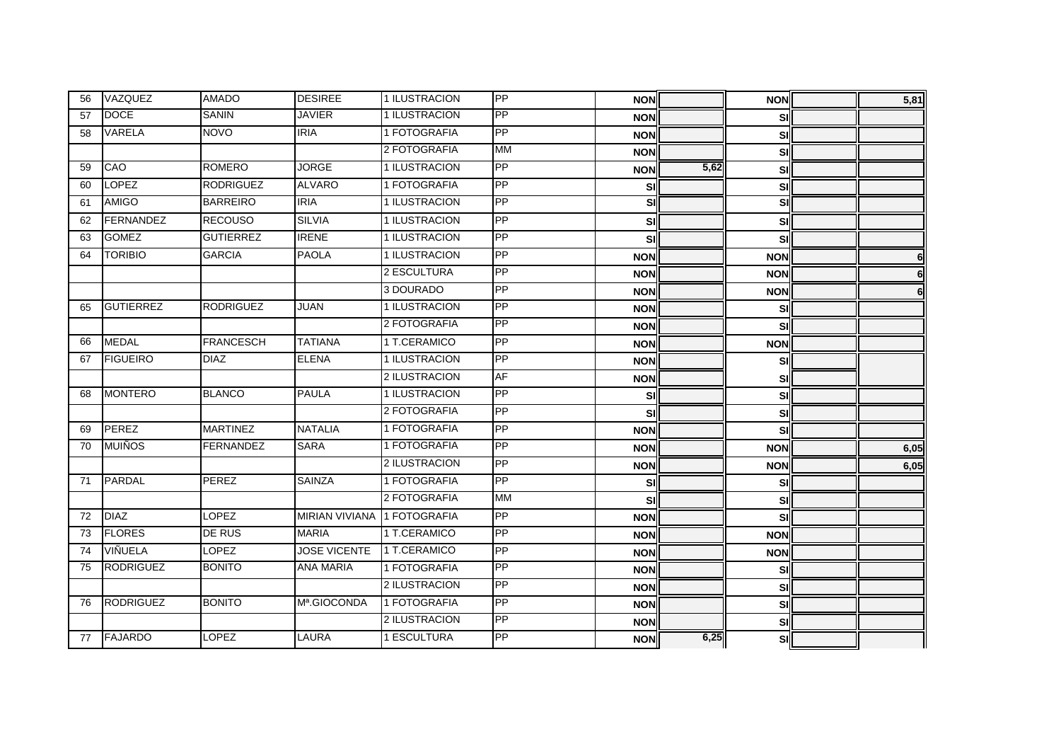| 56 | VAZQUEZ          | <b>AMADO</b>     | <b>DESIREE</b>              | 1 ILUSTRACION | PP              | <b>NON</b> |      | <b>NON</b>              | 5,81 |
|----|------------------|------------------|-----------------------------|---------------|-----------------|------------|------|-------------------------|------|
| 57 | <b>DOCE</b>      | <b>SANIN</b>     | <b>JAVIER</b>               | 1 ILUSTRACION | PP              | <b>NON</b> |      | SI                      |      |
| 58 | <b>VARELA</b>    | <b>NOVO</b>      | <b>IRIA</b>                 | 1 FOTOGRAFIA  | <b>PP</b>       | <b>NON</b> |      | sı                      |      |
|    |                  |                  |                             | 2 FOTOGRAFIA  | <b>MM</b>       | <b>NON</b> |      | <b>SI</b>               |      |
| 59 | CAO              | <b>ROMERO</b>    | <b>JORGE</b>                | 1 ILUSTRACION | PP              | <b>NON</b> | 5,62 | <b>SI</b>               |      |
| 60 | <b>LOPEZ</b>     | <b>RODRIGUEZ</b> | <b>ALVARO</b>               | 1 FOTOGRAFIA  | PP              | <b>SI</b>  |      | <b>SI</b>               |      |
| 61 | <b>AMIGO</b>     | <b>BARREIRO</b>  | <b>IRIA</b>                 | 1 ILUSTRACION | <b>PP</b>       | <u>si</u>  |      | $\overline{\mathbf{s}}$ |      |
| 62 | FERNANDEZ        | <b>RECOUSO</b>   | <b>SILVIA</b>               | 1 ILUSTRACION | PP              | SI         |      | <b>SI</b>               |      |
| 63 | <b>GOMEZ</b>     | <b>GUTIERREZ</b> | <b>IRENE</b>                | 1 ILUSTRACION | PP              | <b>SI</b>  |      | sı                      |      |
| 64 | <b>TORIBIO</b>   | <b>GARCIA</b>    | <b>PAOLA</b>                | 1 ILUSTRACION | PP              | <b>NON</b> |      | <b>NON</b>              | 6    |
|    |                  |                  |                             | 2 ESCULTURA   | PP              | <b>NON</b> |      | <b>NON</b>              | 6    |
|    |                  |                  |                             | 3 DOURADO     | PP              | <b>NON</b> |      | <b>NON</b>              | 6    |
| 65 | <b>GUTIERREZ</b> | <b>RODRIGUEZ</b> | <b>JUAN</b>                 | 1 ILUSTRACION | <b>PP</b>       | <b>NON</b> |      | SI                      |      |
|    |                  |                  |                             | 2 FOTOGRAFIA  | PP              | <b>NON</b> |      | <b>SI</b>               |      |
| 66 | <b>MEDAL</b>     | <b>FRANCESCH</b> | <b>TATIANA</b>              | 1 T.CERAMICO  | <b>PP</b>       | <b>NON</b> |      | <b>NON</b>              |      |
| 67 | <b>FIGUEIRO</b>  | <b>DIAZ</b>      | <b>ELENA</b>                | 1 ILUSTRACION | $\overline{PP}$ | <b>NON</b> |      | <b>SI</b>               |      |
|    |                  |                  |                             | 2 ILUSTRACION | <b>AF</b>       | <b>NON</b> |      | <b>SI</b>               |      |
| 68 | <b>MONTERO</b>   | <b>BLANCO</b>    | <b>PAULA</b>                | 1 ILUSTRACION | PP              | SI         |      | <b>SI</b>               |      |
|    |                  |                  |                             | 2 FOTOGRAFIA  | PP              | SI         |      | sı                      |      |
| 69 | <b>PEREZ</b>     | <b>MARTINEZ</b>  | <b>NATALIA</b>              | 1 FOTOGRAFIA  | PP              | <b>NON</b> |      | sıl                     |      |
| 70 | <b>MUIÑOS</b>    | <b>FERNANDEZ</b> | <b>SARA</b>                 | 1 FOTOGRAFIA  | PP              | <b>NON</b> |      | <b>NON</b>              | 6,05 |
|    |                  |                  |                             | 2 ILUSTRACION | PP              | <b>NON</b> |      | <b>NON</b>              | 6,05 |
| 71 | <b>PARDAL</b>    | PEREZ            | <b>SAINZA</b>               | 1 FOTOGRAFIA  | PP              | SI         |      | <b>SI</b>               |      |
|    |                  |                  |                             | 2 FOTOGRAFIA  | <b>MM</b>       | SI         |      | sı                      |      |
| 72 | <b>DIAZ</b>      | LOPEZ            | MIRIAN VIVIANA 1 FOTOGRAFIA |               | PP              | <b>NON</b> |      | <b>SI</b>               |      |
| 73 | <b>FLORES</b>    | <b>DE RUS</b>    | <b>MARIA</b>                | 1 T.CERAMICO  | PP              | <b>NON</b> |      | <b>NON</b>              |      |
| 74 | VIÑUELA          | LOPEZ            | <b>JOSE VICENTE</b>         | 1 T.CERAMICO  | PP              | <b>NON</b> |      | <b>NON</b>              |      |
| 75 | <b>RODRIGUEZ</b> | <b>BONITO</b>    | <b>ANA MARIA</b>            | 1 FOTOGRAFIA  | $\overline{PP}$ | <b>NON</b> |      | <b>SI</b>               |      |
|    |                  |                  |                             | 2 ILUSTRACION | PP              | <b>NON</b> |      | <b>SI</b>               |      |
| 76 | <b>RODRIGUEZ</b> | <b>BONITO</b>    | Mª.GIOCONDA                 | 1 FOTOGRAFIA  | PP              | <b>NON</b> |      | <b>SI</b>               |      |
|    |                  |                  |                             | 2 ILUSTRACION | <b>PP</b>       | <b>NON</b> |      | SI                      |      |
| 77 | <b>FAJARDO</b>   | <b>LOPEZ</b>     | <b>LAURA</b>                | 1 ESCULTURA   | PP              | <b>NON</b> | 6,25 | sıll                    |      |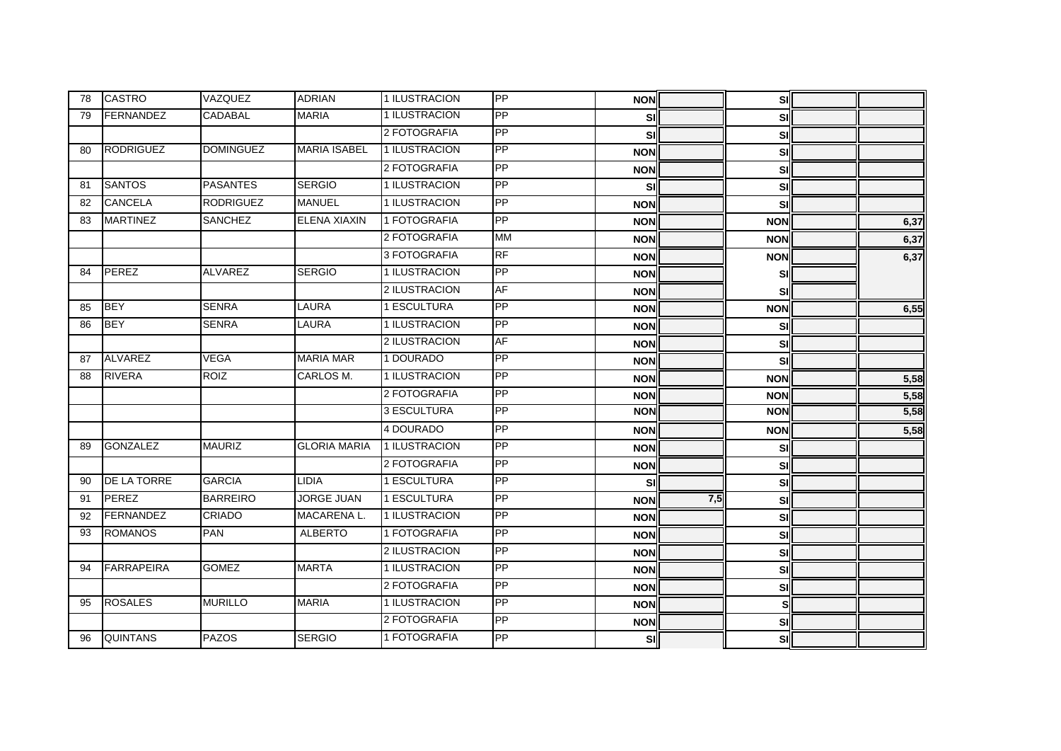| 78 | <b>CASTRO</b>      | VAZQUEZ          | <b>ADRIAN</b>       | 1 ILUSTRACION | PP        | <b>NON</b> |     | SI         |      |
|----|--------------------|------------------|---------------------|---------------|-----------|------------|-----|------------|------|
| 79 | <b>FERNANDEZ</b>   | CADABAL          | <b>MARIA</b>        | 1 ILUSTRACION | PP        | SI         |     | SI         |      |
|    |                    |                  |                     | 2 FOTOGRAFIA  | PP        | sıl        |     | SI         |      |
| 80 | <b>RODRIGUEZ</b>   | <b>DOMINGUEZ</b> | <b>MARIA ISABEL</b> | 1 ILUSTRACION | PP        | <b>NON</b> |     | SI         |      |
|    |                    |                  |                     | 2 FOTOGRAFIA  | PP        | <b>NON</b> |     | SI         |      |
| 81 | <b>SANTOS</b>      | <b>PASANTES</b>  | <b>SERGIO</b>       | 1 ILUSTRACION | PP        | sıl        |     | SI         |      |
| 82 | <b>CANCELA</b>     | <b>RODRIGUEZ</b> | <b>MANUEL</b>       | 1 ILUSTRACION | PP        | <b>NON</b> |     | SI         |      |
| 83 | <b>MARTINEZ</b>    | SANCHEZ          | <b>ELENA XIAXIN</b> | 1 FOTOGRAFIA  | PP        | <b>NON</b> |     | <b>NON</b> | 6,37 |
|    |                    |                  |                     | 2 FOTOGRAFIA  | <b>MM</b> | <b>NON</b> |     | <b>NON</b> | 6,37 |
|    |                    |                  |                     | 3 FOTOGRAFIA  | <b>RF</b> | <b>NON</b> |     | <b>NON</b> | 6,37 |
| 84 | <b>PEREZ</b>       | <b>ALVAREZ</b>   | <b>SERGIO</b>       | 1 ILUSTRACION | PP        | <b>NON</b> |     | SI         |      |
|    |                    |                  |                     | 2 ILUSTRACION | <b>AF</b> | <b>NON</b> |     | SI         |      |
| 85 | <b>BEY</b>         | <b>SENRA</b>     | <b>LAURA</b>        | 1 ESCULTURA   | PP        | <b>NON</b> |     | <b>NON</b> | 6,55 |
| 86 | <b>BEY</b>         | <b>SENRA</b>     | LAURA               | 1 ILUSTRACION | PP        | <b>NON</b> |     | SI         |      |
|    |                    |                  |                     | 2 ILUSTRACION | <b>AF</b> | <b>NON</b> |     | SI         |      |
| 87 | <b>ALVAREZ</b>     | <b>VEGA</b>      | <b>MARIA MAR</b>    | 1 DOURADO     | PP        | <b>NON</b> |     | SI         |      |
| 88 | <b>RIVERA</b>      | <b>ROIZ</b>      | CARLOS M.           | 1 ILUSTRACION | PP        | <b>NON</b> |     | <b>NON</b> | 5,58 |
|    |                    |                  |                     | 2 FOTOGRAFIA  | PP        | <b>NON</b> |     | <b>NON</b> | 5,58 |
|    |                    |                  |                     | 3 ESCULTURA   | PP        | <b>NON</b> |     | <b>NON</b> | 5,58 |
|    |                    |                  |                     | 4 DOURADO     | PP        | <b>NON</b> |     | <b>NON</b> | 5,58 |
| 89 | <b>GONZALEZ</b>    | <b>MAURIZ</b>    | <b>GLORIA MARIA</b> | 1 ILUSTRACION | <b>PP</b> | <b>NON</b> |     | SI         |      |
|    |                    |                  |                     | 2 FOTOGRAFIA  | PP        | <b>NON</b> |     | SI         |      |
| 90 | <b>DE LA TORRE</b> | <b>GARCIA</b>    | <b>LIDIA</b>        | 1 ESCULTURA   | PP        | <b>SI</b>  |     | SI         |      |
| 91 | PEREZ              | <b>BARREIRO</b>  | <b>JORGE JUAN</b>   | 1 ESCULTURA   | PP        | <b>NON</b> | 7,5 | SI         |      |
| 92 | <b>FERNANDEZ</b>   | <b>CRIADO</b>    | MACARENA L.         | 1 ILUSTRACION | PP        | <b>NON</b> |     | SI         |      |
| 93 | <b>ROMANOS</b>     | <b>PAN</b>       | <b>ALBERTO</b>      | 1 FOTOGRAFIA  | PP        | <b>NON</b> |     | SI         |      |
|    |                    |                  |                     | 2 ILUSTRACION | PP        | <b>NON</b> |     | SI         |      |
| 94 | <b>FARRAPEIRA</b>  | <b>GOMEZ</b>     | <b>MARTA</b>        | 1 ILUSTRACION | PP        | <b>NON</b> |     | SI         |      |
|    |                    |                  |                     | 2 FOTOGRAFIA  | PP        | <b>NON</b> |     | SI         |      |
| 95 | <b>ROSALES</b>     | <b>MURILLO</b>   | <b>MARIA</b>        | 1 ILUSTRACION | PP        | <b>NON</b> |     | s          |      |
|    |                    |                  |                     | 2 FOTOGRAFIA  | PP        | <b>NON</b> |     | SI         |      |
| 96 | <b>QUINTANS</b>    | <b>PAZOS</b>     | <b>SERGIO</b>       | 1 FOTOGRAFIA  | PP        | sı         |     | <b>SI</b>  |      |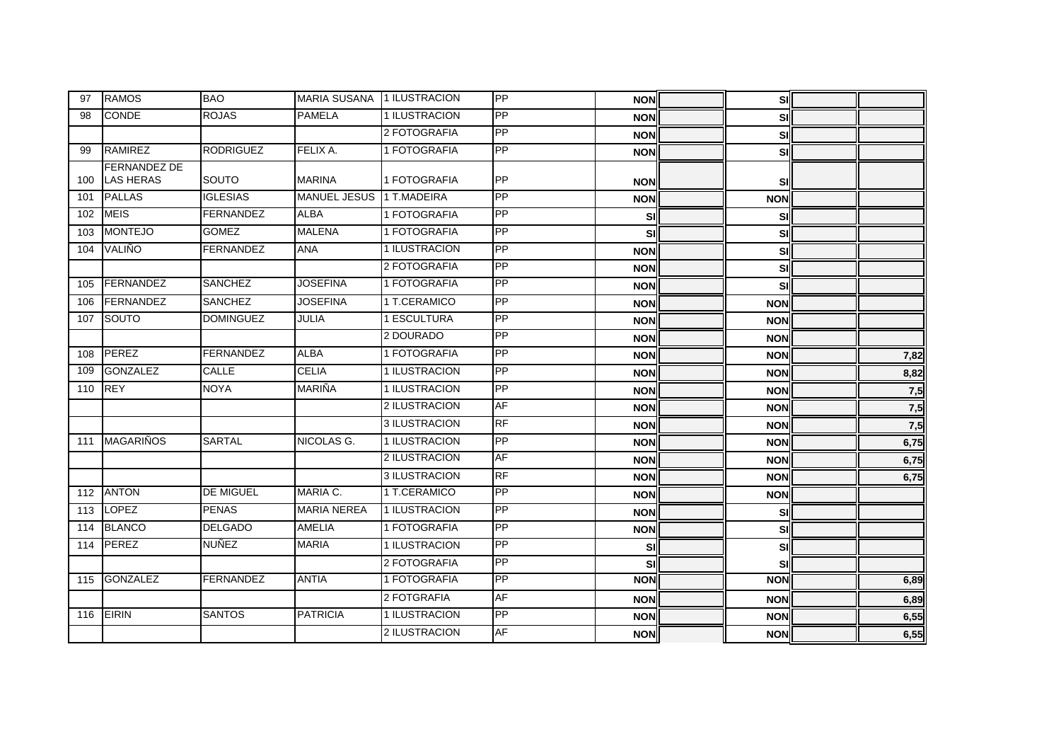| 97  | <b>RAMOS</b>                            | <b>BAO</b>       | MARIA SUSANA 1 ILUSTRACION |               | PP              | <b>NONI</b> | SI         |      |
|-----|-----------------------------------------|------------------|----------------------------|---------------|-----------------|-------------|------------|------|
| 98  | <b>CONDE</b>                            | <b>ROJAS</b>     | <b>PAMELA</b>              | 1 ILUSTRACION | PP              | <b>NON</b>  | SI         |      |
|     |                                         |                  |                            | 2 FOTOGRAFIA  | <b>PP</b>       | <b>NON</b>  | SI         |      |
| 99  | RAMIREZ                                 | <b>RODRIGUEZ</b> | FELIX A.                   | 1 FOTOGRAFIA  | PP              | <b>NON</b>  | SI         |      |
| 100 | <b>FERNANDEZ DE</b><br><b>LAS HERAS</b> | SOUTO            | <b>MARINA</b>              | 1 FOTOGRAFIA  | <b>IPP</b>      | <b>NON</b>  | <b>SI</b>  |      |
| 101 | <b>PALLAS</b>                           | <b>IGLESIAS</b>  | <b>MANUEL JESUS</b>        | 1 T.MADEIRA   | PP              | <b>NON</b>  | <b>NON</b> |      |
| 102 | <b>MEIS</b>                             | <b>FERNANDEZ</b> | <b>ALBA</b>                | 1 FOTOGRAFIA  | PP              | SI          | SI         |      |
| 103 | <b>MONTEJO</b>                          | <b>GOMEZ</b>     | <b>MALENA</b>              | 1 FOTOGRAFIA  | $\overline{PP}$ | sıl         | <b>SI</b>  |      |
| 104 | VALIÑO                                  | <b>FERNANDEZ</b> | <b>ANA</b>                 | 1 ILUSTRACION | PP              | <b>NON</b>  | <b>SI</b>  |      |
|     |                                         |                  |                            | 2 FOTOGRAFIA  | <b>PP</b>       | <b>NON</b>  | SI         |      |
| 105 | FERNANDEZ                               | <b>SANCHEZ</b>   | <b>JOSEFINA</b>            | 1 FOTOGRAFIA  | $\overline{PP}$ | <b>NON</b>  | SI         |      |
| 106 | FERNANDEZ                               | <b>SANCHEZ</b>   | <b>JOSEFINA</b>            | 1 T.CERAMICO  | PP              | <b>NON</b>  | <b>NON</b> |      |
| 107 | <b>SOUTO</b>                            | <b>DOMINGUEZ</b> | <b>JULIA</b>               | 1 ESCULTURA   | PP              | <b>NON</b>  | <b>NON</b> |      |
|     |                                         |                  |                            | 2 DOURADO     | PP              | <b>NON</b>  | <b>NON</b> |      |
| 108 | PEREZ                                   | FERNANDEZ        | <b>ALBA</b>                | 1 FOTOGRAFIA  | PP              | <b>NON</b>  | <b>NON</b> | 7,82 |
| 109 | <b>GONZALEZ</b>                         | <b>CALLE</b>     | <b>CELIA</b>               | 1 ILUSTRACION | <b>PP</b>       | <b>NON</b>  | <b>NON</b> | 8,82 |
| 110 | <b>REY</b>                              | <b>NOYA</b>      | <b>MARIÑA</b>              | 1 ILUSTRACION | PP              | <b>NON</b>  | <b>NON</b> | 7,5  |
|     |                                         |                  |                            | 2 ILUSTRACION | AF              | <b>NON</b>  | <b>NON</b> | 7,5  |
|     |                                         |                  |                            | 3 ILUSTRACION | <b>RF</b>       | <b>NON</b>  | <b>NON</b> | 7,5  |
| 111 | <b>MAGARIÑOS</b>                        | <b>SARTAL</b>    | NICOLAS G.                 | 1 ILUSTRACION | PP              | <b>NON</b>  | <b>NON</b> | 6,75 |
|     |                                         |                  |                            | 2 ILUSTRACION | AF              | <b>NON</b>  | <b>NON</b> | 6,75 |
|     |                                         |                  |                            | 3 ILUSTRACION | <b>RF</b>       | <b>NON</b>  | <b>NON</b> | 6,75 |
| 112 | <b>ANTON</b>                            | <b>DE MIGUEL</b> | MARIA C.                   | 1 T.CERAMICO  | $\overline{PP}$ | <b>NON</b>  | <b>NON</b> |      |
| 113 | <b>LOPEZ</b>                            | <b>PENAS</b>     | <b>MARIA NEREA</b>         | 1 ILUSTRACION | PP              | <b>NON</b>  | SI         |      |
| 114 | <b>BLANCO</b>                           | <b>DELGADO</b>   | <b>AMELIA</b>              | 1 FOTOGRAFIA  | PP              | <b>NON</b>  | <b>SI</b>  |      |
| 114 | <b>PEREZ</b>                            | <b>NUÑEZ</b>     | <b>MARIA</b>               | 1 ILUSTRACION | <b>PP</b>       | sıl         | SI         |      |
|     |                                         |                  |                            | 2 FOTOGRAFIA  | PP              | SI          | SI         |      |
| 115 | <b>GONZALEZ</b>                         | <b>FERNANDEZ</b> | <b>ANTIA</b>               | 1 FOTOGRAFIA  | PP              | <b>NON</b>  | <b>NON</b> | 6,89 |
|     |                                         |                  |                            | 2 FOTGRAFIA   | <b>AF</b>       | <b>NON</b>  | <b>NON</b> | 6,89 |
| 116 | <b>EIRIN</b>                            | <b>SANTOS</b>    | <b>PATRICIA</b>            | 1 ILUSTRACION | PP              | <b>NON</b>  | <b>NON</b> | 6,55 |
|     |                                         |                  |                            | 2 ILUSTRACION | <b>AF</b>       | <b>NON</b>  | <b>NON</b> | 6,55 |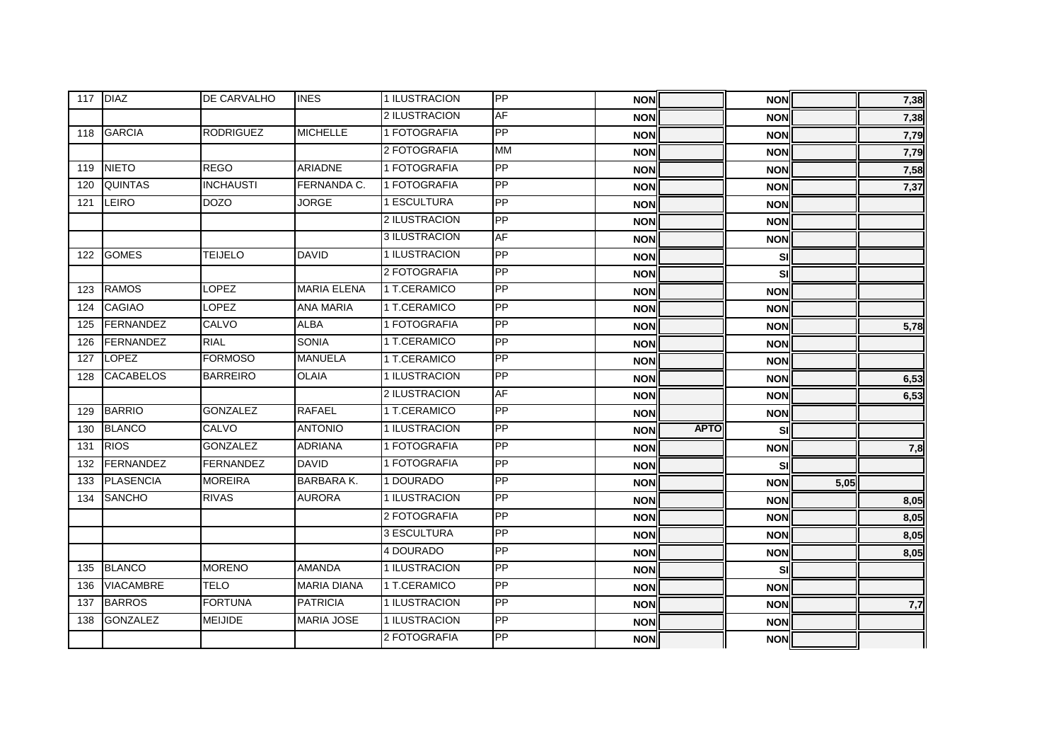|     | 117 DIAZ         | DE CARVALHO      | <b>INES</b>        | 1 ILUSTRACION | PP              | <b>NON</b> |             | <b>NON</b> |      | 7,38 |
|-----|------------------|------------------|--------------------|---------------|-----------------|------------|-------------|------------|------|------|
|     |                  |                  |                    | 2 ILUSTRACION | AF              | <b>NON</b> |             | <b>NON</b> |      | 7,38 |
| 118 | <b>GARCIA</b>    | <b>RODRIGUEZ</b> | <b>MICHELLE</b>    | 1 FOTOGRAFIA  | <b>PP</b>       | <b>NON</b> |             | <b>NON</b> |      | 7,79 |
|     |                  |                  |                    | 2 FOTOGRAFIA  | <b>MM</b>       | <b>NON</b> |             | <b>NON</b> |      | 7,79 |
| 119 | <b>NIETO</b>     | <b>REGO</b>      | ARIADNE            | 1 FOTOGRAFIA  | PP              | <b>NON</b> |             | <b>NON</b> |      | 7,58 |
| 120 | <b>QUINTAS</b>   | <b>INCHAUSTI</b> | FERNANDA C.        | 1 FOTOGRAFIA  | $\overline{PP}$ | <b>NON</b> |             | <b>NON</b> |      | 7,37 |
| 121 | LEIRO            | <b>DOZO</b>      | <b>JORGE</b>       | 1 ESCULTURA   | PP              | <b>NON</b> |             | <b>NON</b> |      |      |
|     |                  |                  |                    | 2 ILUSTRACION | PP              | <b>NON</b> |             | <b>NON</b> |      |      |
|     |                  |                  |                    | 3 ILUSTRACION | <b>AF</b>       | <b>NON</b> |             | <b>NON</b> |      |      |
| 122 | <b>GOMES</b>     | <b>TEIJELO</b>   | <b>DAVID</b>       | 1 ILUSTRACION | PP              | <b>NON</b> |             | SI         |      |      |
|     |                  |                  |                    | 2 FOTOGRAFIA  | PP              | <b>NON</b> |             | SI         |      |      |
| 123 | <b>RAMOS</b>     | <b>LOPEZ</b>     | <b>MARIA ELENA</b> | 1 T.CERAMICO  | <b>PP</b>       | <b>NON</b> |             | <b>NON</b> |      |      |
| 124 | <b>CAGIAO</b>    | <b>LOPEZ</b>     | <b>ANA MARIA</b>   | 1 T.CERAMICO  | PP              | <b>NON</b> |             | <b>NON</b> |      |      |
| 125 | <b>FERNANDEZ</b> | CALVO            | <b>ALBA</b>        | 1 FOTOGRAFIA  | PP              | <b>NON</b> |             | <b>NON</b> |      | 5,78 |
| 126 | FERNANDEZ        | <b>RIAL</b>      | <b>SONIA</b>       | 1 T.CERAMICO  | PP              | <b>NON</b> |             | <b>NON</b> |      |      |
| 127 | <b>LOPEZ</b>     | <b>FORMOSO</b>   | <b>MANUELA</b>     | 1 T.CERAMICO  | PP              | <b>NON</b> |             | <b>NON</b> |      |      |
| 128 | <b>CACABELOS</b> | <b>BARREIRO</b>  | <b>OLAIA</b>       | 1 ILUSTRACION | PP              | <b>NON</b> |             | <b>NON</b> |      | 6,53 |
|     |                  |                  |                    | 2 ILUSTRACION | <b>AF</b>       | <b>NON</b> |             | <b>NON</b> |      | 6,53 |
| 129 | <b>BARRIO</b>    | <b>GONZALEZ</b>  | <b>RAFAEL</b>      | 1 T.CERAMICO  | <b>PP</b>       | <b>NON</b> |             | <b>NON</b> |      |      |
| 130 | <b>BLANCO</b>    | <b>CALVO</b>     | <b>ANTONIO</b>     | 1 ILUSTRACION | PP              | <b>NON</b> | <b>APTO</b> | SI         |      |      |
| 131 | <b>RIOS</b>      | <b>GONZALEZ</b>  | <b>ADRIANA</b>     | 1 FOTOGRAFIA  | PP              | <b>NON</b> |             | <b>NON</b> |      | 7,8  |
| 132 | FERNANDEZ        | <b>FERNANDEZ</b> | <b>DAVID</b>       | 1 FOTOGRAFIA  | PP              | <b>NON</b> |             | SI         |      |      |
| 133 | <b>PLASENCIA</b> | <b>MOREIRA</b>   | <b>BARBARA K.</b>  | 1 DOURADO     | PP              | <b>NON</b> |             | <b>NON</b> | 5,05 |      |
| 134 | <b>SANCHO</b>    | <b>RIVAS</b>     | <b>AURORA</b>      | 1 ILUSTRACION | PP              | <b>NON</b> |             | <b>NON</b> |      | 8,05 |
|     |                  |                  |                    | 2 FOTOGRAFIA  | PP              | <b>NON</b> |             | <b>NON</b> |      | 8,05 |
|     |                  |                  |                    | 3 ESCULTURA   | PP              | <b>NON</b> |             | <b>NON</b> |      | 8,05 |
|     |                  |                  |                    | 4 DOURADO     | PP              | <b>NON</b> |             | <b>NON</b> |      | 8,05 |
| 135 | <b>BLANCO</b>    | <b>MORENO</b>    | <b>AMANDA</b>      | 1 ILUSTRACION | PP              | <b>NON</b> |             | SI         |      |      |
| 136 | <b>VIACAMBRE</b> | <b>TELO</b>      | <b>MARIA DIANA</b> | 1 T.CERAMICO  | PP              | <b>NON</b> |             | <b>NON</b> |      |      |
| 137 | <b>BARROS</b>    | <b>FORTUNA</b>   | <b>PATRICIA</b>    | 1 ILUSTRACION | PP              | <b>NON</b> |             | <b>NON</b> |      | 7,7  |
| 138 | <b>GONZALEZ</b>  | <b>MEIJIDE</b>   | <b>MARIA JOSE</b>  | 1 ILUSTRACION | PP              | <b>NON</b> |             | <b>NON</b> |      |      |
|     |                  |                  |                    | 2 FOTOGRAFIA  | PP              | <b>NON</b> |             | <b>NON</b> |      |      |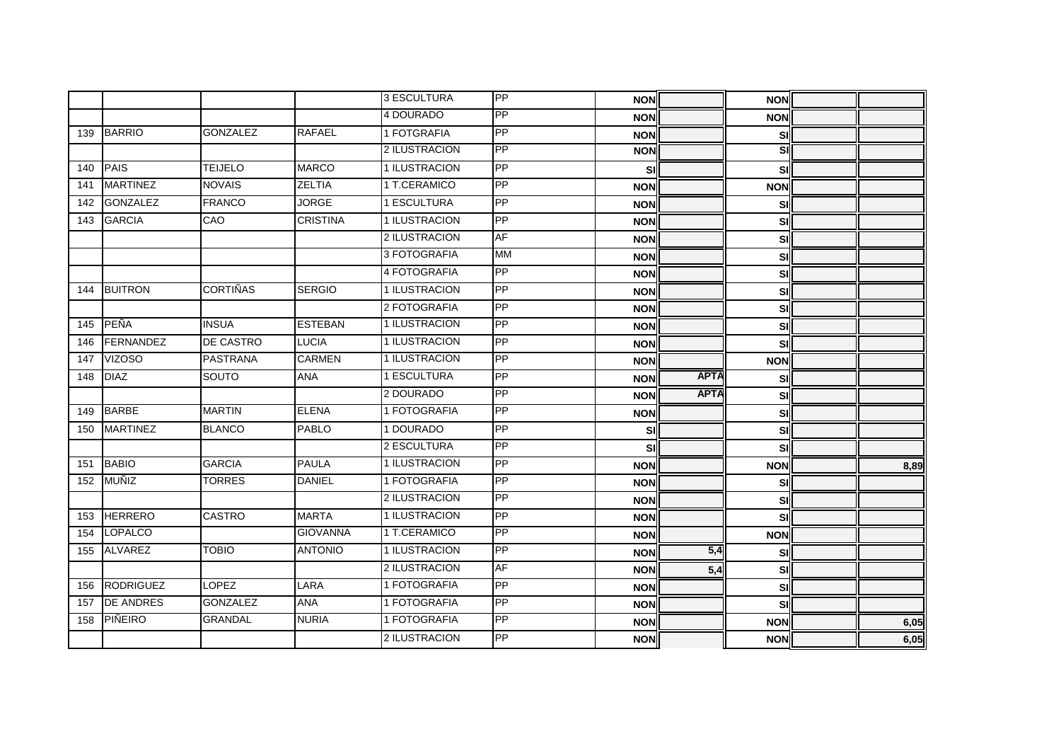|     |                  |                  |                 | 3 ESCULTURA   | PP        | <b>NON</b> |             | <b>NON</b> |      |
|-----|------------------|------------------|-----------------|---------------|-----------|------------|-------------|------------|------|
|     |                  |                  |                 | 4 DOURADO     | PP        | <b>NON</b> |             | <b>NON</b> |      |
| 139 | BARRIO           | <b>GONZALEZ</b>  | <b>RAFAEL</b>   | 1 FOTGRAFIA   | <b>PP</b> | <b>NON</b> |             | <b>SI</b>  |      |
|     |                  |                  |                 | 2 ILUSTRACION | PP        | <b>NON</b> |             | <u>si</u>  |      |
| 140 | PAIS             | <b>TEIJELO</b>   | <b>MARCO</b>    | 1 ILUSTRACION | PP        | <b>SI</b>  |             | <b>SI</b>  |      |
| 141 | <b>MARTINEZ</b>  | <b>NOVAIS</b>    | <b>ZELTIA</b>   | 1 T.CERAMICO  | PP        | <b>NON</b> |             | <b>NON</b> |      |
| 142 | <b>GONZALEZ</b>  | <b>FRANCO</b>    | <b>JORGE</b>    | 1 ESCULTURA   | PP        | <b>NON</b> |             | <b>SI</b>  |      |
| 143 | <b>GARCIA</b>    | CAO              | <b>CRISTINA</b> | 1 ILUSTRACION | PP        | <b>NON</b> |             | <b>SI</b>  |      |
|     |                  |                  |                 | 2 ILUSTRACION | <b>AF</b> | <b>NON</b> |             | sı         |      |
|     |                  |                  |                 | 3 FOTOGRAFIA  | <b>MM</b> | <b>NON</b> |             | <b>SI</b>  |      |
|     |                  |                  |                 | 4 FOTOGRAFIA  | PP        | <b>NON</b> |             | sı         |      |
| 144 | <b>BUITRON</b>   | <b>CORTIÑAS</b>  | <b>SERGIO</b>   | 1 ILUSTRACION | PP        | <b>NON</b> |             | sı         |      |
|     |                  |                  |                 | 2 FOTOGRAFIA  | PP        | <b>NON</b> |             | <b>SI</b>  |      |
| 145 | PEÑA             | <b>INSUA</b>     | <b>ESTEBAN</b>  | 1 ILUSTRACION | PP        | <b>NON</b> |             | SI         |      |
| 146 | FERNANDEZ        | <b>DE CASTRO</b> | <b>LUCIA</b>    | 1 ILUSTRACION | PP        | <b>NON</b> |             | <b>SI</b>  |      |
| 147 | <b>VIZOSO</b>    | <b>PASTRANA</b>  | <b>CARMEN</b>   | 1 ILUSTRACION | PP        | <b>NON</b> |             | <b>NON</b> |      |
| 148 | <b>DIAZ</b>      | SOUTO            | <b>ANA</b>      | 1 ESCULTURA   | PP        | <b>NON</b> | <b>APTA</b> | SI         |      |
|     |                  |                  |                 | 2 DOURADO     | PP        | <b>NON</b> | <b>APTA</b> | sıl        |      |
| 149 | <b>BARBE</b>     | <b>MARTIN</b>    | <b>ELENA</b>    | 1 FOTOGRAFIA  | PP        | <b>NON</b> |             | SI         |      |
| 150 | <b>MARTINEZ</b>  | <b>BLANCO</b>    | <b>PABLO</b>    | 1 DOURADO     | PP        | SI         |             | <b>SI</b>  |      |
|     |                  |                  |                 | 2 ESCULTURA   | PP        | SI         |             | sı         |      |
| 151 | <b>BABIO</b>     | <b>GARCIA</b>    | <b>PAULA</b>    | 1 ILUSTRACION | PP        | <b>NON</b> |             | <b>NON</b> | 8,89 |
| 152 | MUÑIZ            | <b>TORRES</b>    | <b>DANIEL</b>   | 1 FOTOGRAFIA  | <b>PP</b> | <b>NON</b> |             | SI         |      |
|     |                  |                  |                 | 2 ILUSTRACION | PP        | <b>NON</b> |             | sı         |      |
| 153 | <b>HERRERO</b>   | <b>CASTRO</b>    | <b>MARTA</b>    | 1 ILUSTRACION | PP        | <b>NON</b> |             | <b>SI</b>  |      |
| 154 | <b>LOPALCO</b>   |                  | <b>GIOVANNA</b> | 1 T.CERAMICO  | PP        | <b>NON</b> |             | <b>NON</b> |      |
| 155 | <b>ALVAREZ</b>   | <b>TOBIO</b>     | <b>ANTONIO</b>  | 1 ILUSTRACION | PP        | <b>NON</b> | 5,4         | <b>SI</b>  |      |
|     |                  |                  |                 | 2 ILUSTRACION | <b>AF</b> | <b>NON</b> | 5,4         | SI         |      |
| 156 | <b>RODRIGUEZ</b> | <b>LOPEZ</b>     | LARA            | 1 FOTOGRAFIA  | PP        | <b>NON</b> |             | sı         |      |
| 157 | <b>DE ANDRES</b> | <b>GONZALEZ</b>  | <b>ANA</b>      | 1 FOTOGRAFIA  | PP        | <b>NON</b> |             | <b>SI</b>  |      |
| 158 | PIÑEIRO          | <b>GRANDAL</b>   | <b>NURIA</b>    | 1 FOTOGRAFIA  | PP        | <b>NON</b> |             | <b>NON</b> | 6,05 |
|     |                  |                  |                 | 2 ILUSTRACION | PP        | <b>NON</b> |             | <b>NON</b> | 6,05 |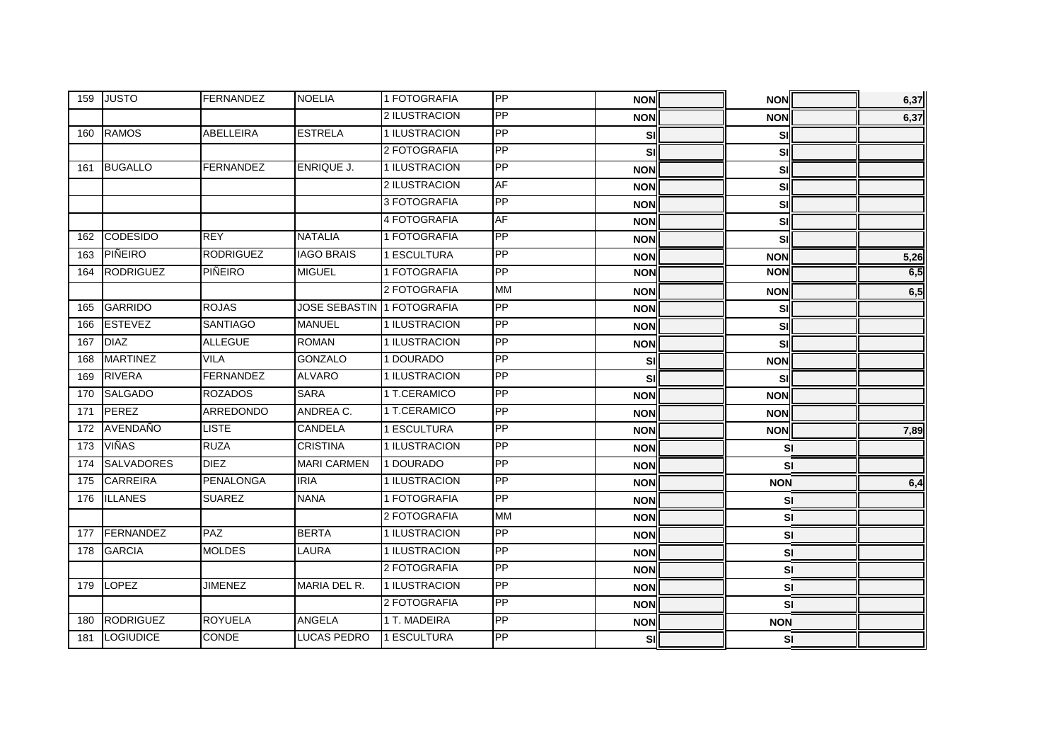| 159 | <b>JUSTO</b>      | <b>FERNANDEZ</b> | <b>NOELIA</b>              | 1 FOTOGRAFIA  | PP        | <b>NON</b> | <b>NON</b> | 6,37 |
|-----|-------------------|------------------|----------------------------|---------------|-----------|------------|------------|------|
|     |                   |                  |                            | 2 ILUSTRACION | PP        | <b>NON</b> | <b>NON</b> | 6,37 |
| 160 | RAMOS             | <b>ABELLEIRA</b> | <b>ESTRELA</b>             | 1 ILUSTRACION | <b>PP</b> | sıl        | <b>SI</b>  |      |
|     |                   |                  |                            | 2 FOTOGRAFIA  | PP        | SI         | <b>SI</b>  |      |
| 161 | <b>BUGALLO</b>    | <b>FERNANDEZ</b> | ENRIQUE J.                 | 1 ILUSTRACION | PP        | <b>NON</b> | SI         |      |
|     |                   |                  |                            | 2 ILUSTRACION | <b>AF</b> | <b>NON</b> | sı         |      |
|     |                   |                  |                            | 3 FOTOGRAFIA  | <b>PP</b> | <b>NON</b> | <b>SI</b>  |      |
|     |                   |                  |                            | 4 FOTOGRAFIA  | AF        | <b>NON</b> | <b>SI</b>  |      |
| 162 | <b>CODESIDO</b>   | <b>REY</b>       | <b>NATALIA</b>             | 1 FOTOGRAFIA  | <b>PP</b> | <b>NON</b> | SI         |      |
| 163 | PIÑEIRO           | <b>RODRIGUEZ</b> | <b>IAGO BRAIS</b>          | 1 ESCULTURA   | PP        | <b>NON</b> | <b>NON</b> | 5,26 |
| 164 | <b>RODRIGUEZ</b>  | PIÑEIRO          | <b>MIGUEL</b>              | 1 FOTOGRAFIA  | PP        | <b>NON</b> | <b>NON</b> | 6,5  |
|     |                   |                  |                            | 2 FOTOGRAFIA  | <b>MM</b> | <b>NON</b> | <b>NON</b> | 6,5  |
| 165 | <b>GARRIDO</b>    | <b>ROJAS</b>     | JOSE SEBASTIN 1 FOTOGRAFIA |               | PP        | <b>NON</b> | SI         |      |
| 166 | <b>ESTEVEZ</b>    | <b>SANTIAGO</b>  | <b>MANUEL</b>              | 1 ILUSTRACION | PP        | <b>NON</b> | <b>SI</b>  |      |
| 167 | <b>DIAZ</b>       | <b>ALLEGUE</b>   | <b>ROMAN</b>               | 1 ILUSTRACION | PP        | <b>NON</b> | SI         |      |
| 168 | <b>MARTINEZ</b>   | <b>VILA</b>      | <b>GONZALO</b>             | 1 DOURADO     | PP        | <b>SI</b>  | <b>NON</b> |      |
| 169 | <b>RIVERA</b>     | <b>FERNANDEZ</b> | <b>ALVARO</b>              | 1 ILUSTRACION | PP        | SI         | SI         |      |
| 170 | <b>SALGADO</b>    | <b>ROZADOS</b>   | <b>SARA</b>                | 1 T.CERAMICO  | PP        | <b>NON</b> | <b>NON</b> |      |
| 171 | PEREZ             | ARREDONDO        | ANDREA C.                  | 1 T.CERAMICO  | PP        | <b>NON</b> | <b>NON</b> |      |
| 172 | AVENDAÑO          | <b>LISTE</b>     | <b>CANDELA</b>             | 1 ESCULTURA   | <b>PP</b> | <b>NON</b> | <b>NON</b> | 7,89 |
| 173 | <b>VIÑAS</b>      | <b>RUZA</b>      | <b>CRISTINA</b>            | 1 ILUSTRACION | PP        | <b>NON</b> | <b>SI</b>  |      |
| 174 | <b>SALVADORES</b> | <b>DIEZ</b>      | <b>MARI CARMEN</b>         | 1 DOURADO     | <b>PP</b> | <b>NON</b> | <b>SI</b>  |      |
| 175 | <b>CARREIRA</b>   | <b>PENALONGA</b> | <b>IRIA</b>                | 1 ILUSTRACION | PP        | <b>NON</b> | <b>NON</b> | 6,4  |
| 176 | <b>ILLANES</b>    | <b>SUAREZ</b>    | <b>NANA</b>                | 1 FOTOGRAFIA  | PP        | <b>NON</b> | <b>SI</b>  |      |
|     |                   |                  |                            | 2 FOTOGRAFIA  | <b>MM</b> | <b>NON</b> | <b>SI</b>  |      |
| 177 | FERNANDEZ         | <b>PAZ</b>       | <b>BERTA</b>               | 1 ILUSTRACION | PP        | <b>NON</b> | <b>SI</b>  |      |
| 178 | <b>GARCIA</b>     | <b>MOLDES</b>    | <b>LAURA</b>               | 1 ILUSTRACION | PP        | <b>NON</b> | SI         |      |
|     |                   |                  |                            | 2 FOTOGRAFIA  | PP        | <b>NON</b> | <b>SI</b>  |      |
| 179 | LOPEZ             | <b>JIMENEZ</b>   | MARIA DEL R.               | 1 ILUSTRACION | PP        | <b>NON</b> | SI         |      |
|     |                   |                  |                            | 2 FOTOGRAFIA  | PP        | <b>NON</b> | SI         |      |
| 180 | <b>RODRIGUEZ</b>  | <b>ROYUELA</b>   | <b>ANGELA</b>              | 1 T. MADEIRA  | PP        | <b>NON</b> | <b>NON</b> |      |
| 181 | LOGIUDICE         | <b>CONDE</b>     | <b>LUCAS PEDRO</b>         | 1 ESCULTURA   | PP        | sı         | SI         |      |